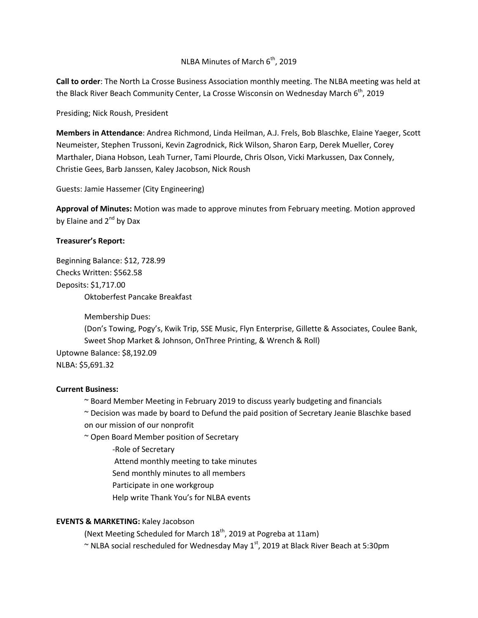# NLBA Minutes of March  $6<sup>th</sup>$ , 2019

**Call to order**: The North La Crosse Business Association monthly meeting. The NLBA meeting was held at the Black River Beach Community Center, La Crosse Wisconsin on Wednesday March 6<sup>th</sup>, 2019

Presiding; Nick Roush, President

**Members in Attendance**: Andrea Richmond, Linda Heilman, A.J. Frels, Bob Blaschke, Elaine Yaeger, Scott Neumeister, Stephen Trussoni, Kevin Zagrodnick, Rick Wilson, Sharon Earp, Derek Mueller, Corey Marthaler, Diana Hobson, Leah Turner, Tami Plourde, Chris Olson, Vicki Markussen, Dax Connely, Christie Gees, Barb Janssen, Kaley Jacobson, Nick Roush

Guests: Jamie Hassemer (City Engineering)

**Approval of Minutes:** Motion was made to approve minutes from February meeting. Motion approved by Elaine and  $2^{nd}$  by Dax

## **Treasurer's Report:**

Beginning Balance: \$12, 728.99 Checks Written: \$562.58 Deposits: \$1,717.00 Oktoberfest Pancake Breakfast

Membership Dues: (Don's Towing, Pogy's, Kwik Trip, SSE Music, Flyn Enterprise, Gillette & Associates, Coulee Bank, Sweet Shop Market & Johnson, OnThree Printing, & Wrench & Roll) Uptowne Balance: \$8,192.09 NLBA: \$5,691.32

## **Current Business:**

~ Board Member Meeting in February 2019 to discuss yearly budgeting and financials

~ Decision was made by board to Defund the paid position of Secretary Jeanie Blaschke based

on our mission of our nonprofit

~ Open Board Member position of Secretary

-Role of Secretary

Attend monthly meeting to take minutes

Send monthly minutes to all members

Participate in one workgroup

Help write Thank You's for NLBA events

# **EVENTS & MARKETING:** Kaley Jacobson

(Next Meeting Scheduled for March  $18<sup>th</sup>$ , 2019 at Pogreba at 11am)

 $\sim$  NLBA social rescheduled for Wednesday May 1st, 2019 at Black River Beach at 5:30pm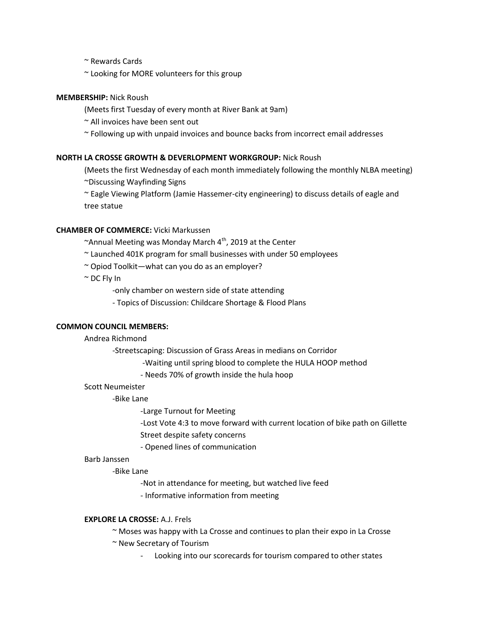~ Rewards Cards

~ Looking for MORE volunteers for this group

## **MEMBERSHIP:** Nick Roush

(Meets first Tuesday of every month at River Bank at 9am)

~ All invoices have been sent out

~ Following up with unpaid invoices and bounce backs from incorrect email addresses

## **NORTH LA CROSSE GROWTH & DEVERLOPMENT WORKGROUP:** Nick Roush

(Meets the first Wednesday of each month immediately following the monthly NLBA meeting)

~Discussing Wayfinding Signs

~ Eagle Viewing Platform (Jamie Hassemer-city engineering) to discuss details of eagle and tree statue

## **CHAMBER OF COMMERCE:** Vicki Markussen

 $\sim$ Annual Meeting was Monday March 4<sup>th</sup>, 2019 at the Center

~ Launched 401K program for small businesses with under 50 employees

- ~ Opiod Toolkit—what can you do as an employer?
- ~ DC Fly In

-only chamber on western side of state attending

- Topics of Discussion: Childcare Shortage & Flood Plans

## **COMMON COUNCIL MEMBERS:**

## Andrea Richmond

-Streetscaping: Discussion of Grass Areas in medians on Corridor

-Waiting until spring blood to complete the HULA HOOP method

- Needs 70% of growth inside the hula hoop

## Scott Neumeister

-Bike Lane

-Large Turnout for Meeting

-Lost Vote 4:3 to move forward with current location of bike path on Gillette Street despite safety concerns

- Opened lines of communication

## Barb Janssen

## -Bike Lane

-Not in attendance for meeting, but watched live feed

- Informative information from meeting

## **EXPLORE LA CROSSE:** A.J. Frels

~ Moses was happy with La Crosse and continues to plan their expo in La Crosse

~ New Secretary of Tourism

Looking into our scorecards for tourism compared to other states